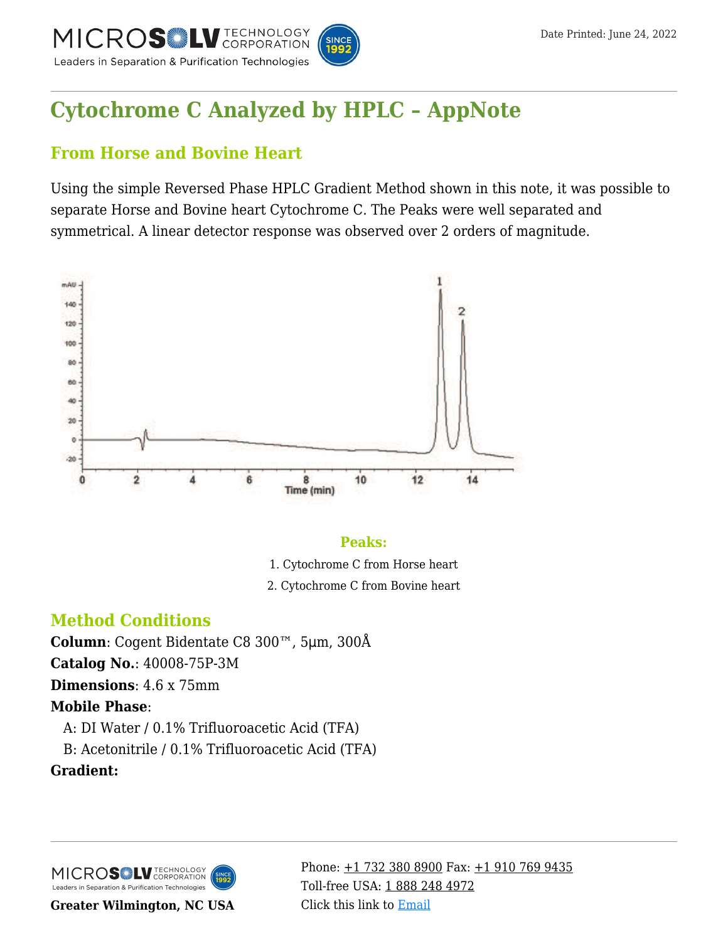

# **[Cytochrome C Analyzed by HPLC – AppNote](https://kb.mtc-usa.com/article/aa-00682/46/)**

## **From Horse and Bovine Heart**

Using the simple Reversed Phase HPLC Gradient Method shown in this note, it was possible to separate Horse and Bovine heart Cytochrome C. The Peaks were well separated and symmetrical. A linear detector response was observed over 2 orders of magnitude.



### **Peaks:**

- 1. Cytochrome C from Horse heart
- 2. Cytochrome C from Bovine heart

## **Method Conditions**

**Column**: Cogent Bidentate C8 300™, 5μm, 300Å

**Catalog No.**: 40008-75P-3M

**Dimensions**: 4.6 x 75mm

## **Mobile Phase**:

—A: DI Water / 0.1% Trifluoroacetic Acid (TFA)

—B: Acetonitrile / 0.1% Trifluoroacetic Acid (TFA)

**Gradient:**

MICROS<sup>OL</sup> LU TECHNOLOGY Leaders in Separation & Purification Technologies

**Greater Wilmington, NC USA**

Phone:  $\pm$ 1 732 380 8900 Fax:  $\pm$ 1 910 769 9435 Toll-free USA: [1 888 248 4972](#page--1-0) Click this link to [Email](https://www.mtc-usa.com/contact)